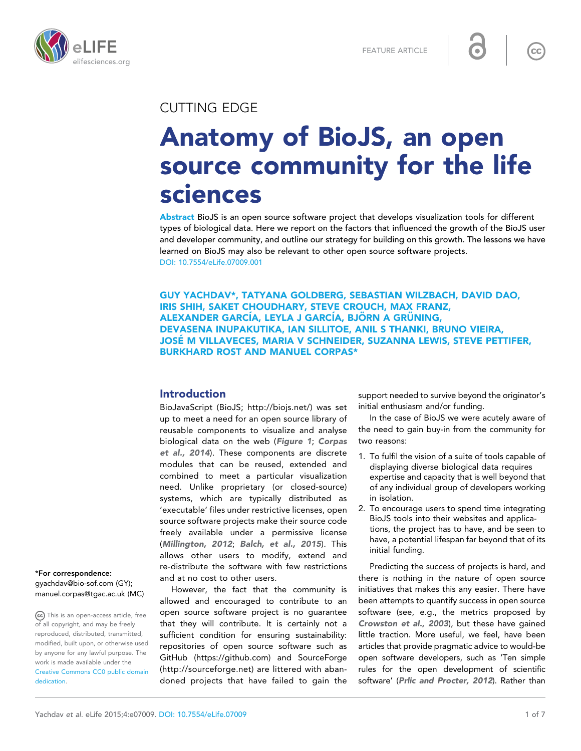



# CUTTING EDGE

# Anatomy of BioJS, an open source community for the life sciences

Abstract BioJS is an open source software project that develops visualization tools for different types of biological data. Here we report on the factors that influenced the growth of the BioJS user and developer community, and outline our strategy for building on this growth. The lessons we have learned on BioJS may also be relevant to other open source software projects. [DOI: 10.7554/eLife.07009.001](http://dx.doi.org/10.7554/eLife.07009.001)

GUY YACHDAV\*, TATYANA GOLDBERG, SEBASTIAN WILZBACH, DAVID DAO, IRIS SHIH, SAKET CHOUDHARY, STEVE CROUCH, MAX FRANZ, ALEXANDER GARCÍA, LEYLA J GARCÍA, BJÖRN A GRÜNING, DEVASENA INUPAKUTIKA, IAN SILLITOE, ANIL S THANKI, BRUNO VIEIRA, JOSE M VILLAVECES, MARIA V SCHNEIDER, SUZANNA LEWIS, STEVE PETTIFER, ´ BURKHARD ROST AND MANUEL CORPAS\*

# Introduction

BioJavaScript (BioJS; [http://biojs.net/\)](http://biojs.net/) was set up to meet a need for an open source library of reusable components to visualize and analyse biological data on the web ([Figure 1](#page-1-0); [Corpas](#page-5-0) [et al., 2014](#page-5-0)). These components are discrete modules that can be reused, extended and combined to meet a particular visualization need. Unlike proprietary (or closed-source) systems, which are typically distributed as 'executable' files under restrictive licenses, open source software projects make their source code freely available under a permissive license ([Millington, 2012](#page-5-0); [Balch, et al., 2015](#page-5-0)). This allows other users to modify, extend and re-distribute the software with few restrictions and at no cost to other users.

However, the fact that the community is allowed and encouraged to contribute to an open source software project is no guarantee that they will contribute. It is certainly not a sufficient condition for ensuring sustainability: repositories of open source software such as GitHub [\(https://github.com\)](https://github.com/) and SourceForge [\(http://sourceforge.net](http://sourceforge.net/)) are littered with abandoned projects that have failed to gain the support needed to survive beyond the originator's initial enthusiasm and/or funding.

In the case of BioJS we were acutely aware of the need to gain buy-in from the community for two reasons:

- 1. To fulfil the vision of a suite of tools capable of displaying diverse biological data requires expertise and capacity that is well beyond that of any individual group of developers working in isolation.
- 2. To encourage users to spend time integrating BioJS tools into their websites and applications, the project has to have, and be seen to have, a potential lifespan far beyond that of its initial funding.

Predicting the success of projects is hard, and there is nothing in the nature of open source initiatives that makes this any easier. There have been attempts to quantify success in open source software (see, e.g., the metrics proposed by [Crowston et al., 2003](#page-5-0)), but these have gained little traction. More useful, we feel, have been articles that provide pragmatic advice to would-be open software developers, such as 'Ten simple rules for the open development of scientific software' ([Prlic and Procter, 2012](#page-6-0)). Rather than

\*For correspondence:

[gyachdav@bio-sof.com](mailto:gyachdav@bio-sof.com) (GY); [manuel.corpas@tgac.ac.uk](mailto:manuel.corpas@tgac.ac.uk) (MC)

This is an open-access article, free of all copyright, and may be freely reproduced, distributed, transmitted, modified, built upon, or otherwise used by anyone for any lawful purpose. The work is made available under the [Creative Commons CC0 public domain](http://creativecommons.org/publicdomain/zero/1.0/) [dedication](http://creativecommons.org/publicdomain/zero/1.0/).

 $\mathsf{cc}$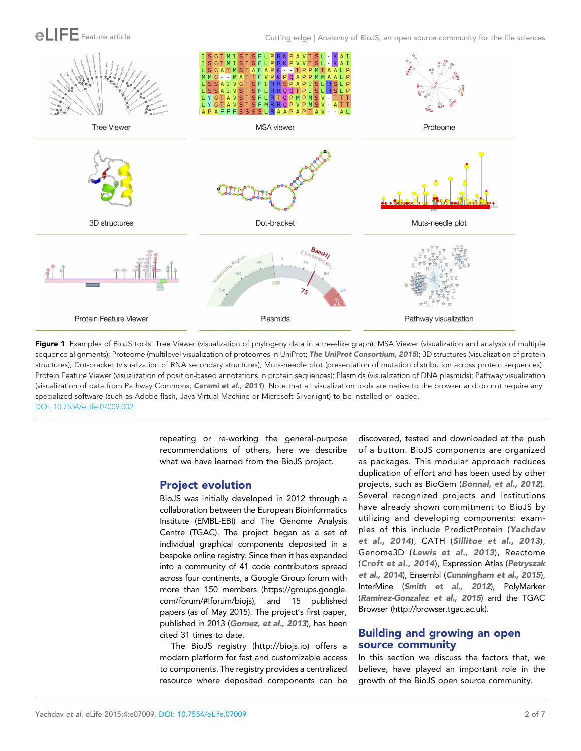<span id="page-1-0"></span>

Feature article Cutting edge | Anatomy of BioJS, an open source community for the life sciences



Figure 1. Examples of BioJS tools. Tree Viewer (visualization of phylogeny data in a tree-like graph); MSA Viewer (visualization and analysis of multiple sequence alignments); Proteome (multilevel visualization of proteomes in UniProt; [The UniProt Consortium, 2015](#page-6-0)); 3D structures (visualization of protein structures); Dot-bracket (visualization of RNA secondary structures); Muts-needle plot (presentation of mutation distribution across protein sequences). Protein Feature Viewer (visualization of position-based annotations in protein sequences); Plasmids (visualization of DNA plasmids); Pathway visualization (visualization of data from Pathway Commons; [Cerami et al., 2011](#page-5-0)). Note that all visualization tools are native to the browser and do not require any specialized software (such as Adobe flash, Java Virtual Machine or Microsoft Silverlight) to be installed or loaded. [DOI: 10.7554/eLife.07009.002](http://dx.doi.org/10.7554/eLife.07009.002)

> repeating or re-working the general-purpose recommendations of others, here we describe what we have learned from the BioJS project.

#### Project evolution

BioJS was initially developed in 2012 through a collaboration between the European Bioinformatics Institute (EMBL-EBI) and The Genome Analysis Centre (TGAC). The project began as a set of individual graphical components deposited in a bespoke online registry. Since then it has expanded into a community of 41 code contributors spread across four continents, a Google Group forum with more than 150 members [\(https://groups.google.](https://groups.google.com/forum/#!forum/biojs) [com/forum/#!forum/biojs\)](https://groups.google.com/forum/#!forum/biojs), and 15 published papers (as of May 2015). The project's first paper, published in 2013 ([Gomez, et al., 2013](#page-5-0)), has been cited 31 times to date.

The BioJS registry ([http://biojs.io\)](http://biojs.io/) offers a modern platform for fast and customizable access to components. The registry provides a centralized resource where deposited components can be discovered, tested and downloaded at the push of a button. BioJS components are organized as packages. This modular approach reduces duplication of effort and has been used by other projects, such as BioGem ([Bonnal, et al., 2012](#page-5-0)). Several recognized projects and institutions have already shown commitment to BioJS by utilizing and developing components: examples of this include PredictProtein ([Yachdav](#page-6-0) [et al., 2014](#page-6-0)), CATH ([Sillitoe et al., 2013](#page-6-0)), Genome3D ([Lewis et al., 2013](#page-5-0)), Reactome ([Croft et al., 2014](#page-5-0)), Expression Atlas ([Petryszak](#page-5-0) [et al., 2014](#page-5-0)), Ensembl ([Cunningham et al., 2015](#page-5-0)), InterMine ([Smith et al., 2012](#page-6-0)), PolyMarker ([Ramirez-Gonzalez et al., 2015](#page-6-0)) and the TGAC Browser [\(http://browser.tgac.ac.uk\)](http://browser.tgac.ac.uk/).

# Building and growing an open source community

In this section we discuss the factors that, we believe, have played an important role in the growth of the BioJS open source community.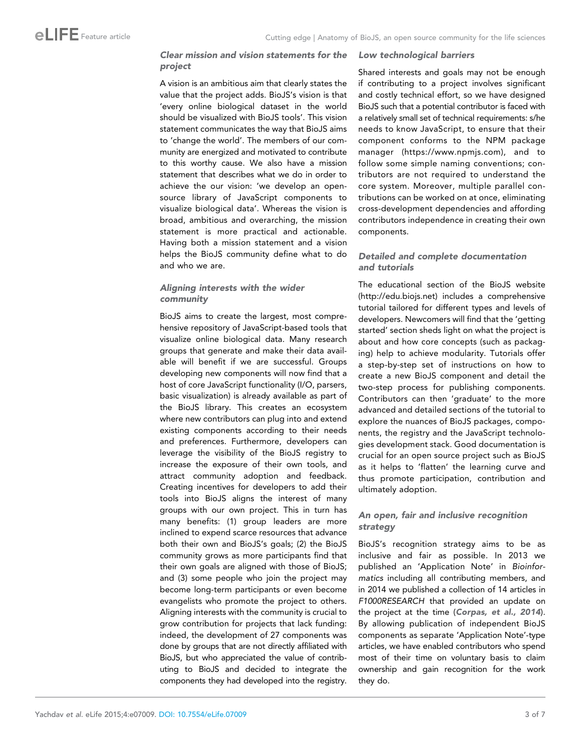#### Clear mission and vision statements for the project

A vision is an ambitious aim that clearly states the value that the project adds. BioJS's vision is that 'every online biological dataset in the world should be visualized with BioJS tools'. This vision statement communicates the way that BioJS aims to 'change the world'. The members of our community are energized and motivated to contribute to this worthy cause. We also have a mission statement that describes what we do in order to achieve the our vision: 'we develop an opensource library of JavaScript components to visualize biological data'. Whereas the vision is broad, ambitious and overarching, the mission statement is more practical and actionable. Having both a mission statement and a vision helps the BioJS community define what to do and who we are.

#### Aligning interests with the wider community

BioJS aims to create the largest, most comprehensive repository of JavaScript-based tools that visualize online biological data. Many research groups that generate and make their data available will benefit if we are successful. Groups developing new components will now find that a host of core JavaScript functionality (I/O, parsers, basic visualization) is already available as part of the BioJS library. This creates an ecosystem where new contributors can plug into and extend existing components according to their needs and preferences. Furthermore, developers can leverage the visibility of the BioJS registry to increase the exposure of their own tools, and attract community adoption and feedback. Creating incentives for developers to add their tools into BioJS aligns the interest of many groups with our own project. This in turn has many benefits: (1) group leaders are more inclined to expend scarce resources that advance both their own and BioJS's goals; (2) the BioJS community grows as more participants find that their own goals are aligned with those of BioJS; and (3) some people who join the project may become long-term participants or even become evangelists who promote the project to others. Aligning interests with the community is crucial to grow contribution for projects that lack funding: indeed, the development of 27 components was done by groups that are not directly affiliated with BioJS, but who appreciated the value of contributing to BioJS and decided to integrate the components they had developed into the registry.

#### Low technological barriers

Shared interests and goals may not be enough if contributing to a project involves significant and costly technical effort, so we have designed BioJS such that a potential contributor is faced with a relatively small set of technical requirements: s/he needs to know JavaScript, to ensure that their component conforms to the NPM package manager [\(https://www.npmjs.com](https://www.npmjs.com/)), and to follow some simple naming conventions; contributors are not required to understand the core system. Moreover, multiple parallel contributions can be worked on at once, eliminating cross-development dependencies and affording contributors independence in creating their own components.

#### Detailed and complete documentation and tutorials

The educational section of the BioJS website [\(http://edu.biojs.net\)](http://edu.biojs.net/) includes a comprehensive tutorial tailored for different types and levels of developers. Newcomers will find that the 'getting started' section sheds light on what the project is about and how core concepts (such as packaging) help to achieve modularity. Tutorials offer a step-by-step set of instructions on how to create a new BioJS component and detail the two-step process for publishing components. Contributors can then 'graduate' to the more advanced and detailed sections of the tutorial to explore the nuances of BioJS packages, components, the registry and the JavaScript technologies development stack. Good documentation is crucial for an open source project such as BioJS as it helps to 'flatten' the learning curve and thus promote participation, contribution and ultimately adoption.

#### An open, fair and inclusive recognition strategy

BioJS's recognition strategy aims to be as inclusive and fair as possible. In 2013 we published an 'Application Note' in Bioinformatics including all contributing members, and in 2014 we published a collection of 14 articles in F1000RESEARCH that provided an update on the project at the time ([Corpas, et al., 2014](#page-5-0)). By allowing publication of independent BioJS components as separate 'Application Note'-type articles, we have enabled contributors who spend most of their time on voluntary basis to claim ownership and gain recognition for the work they do.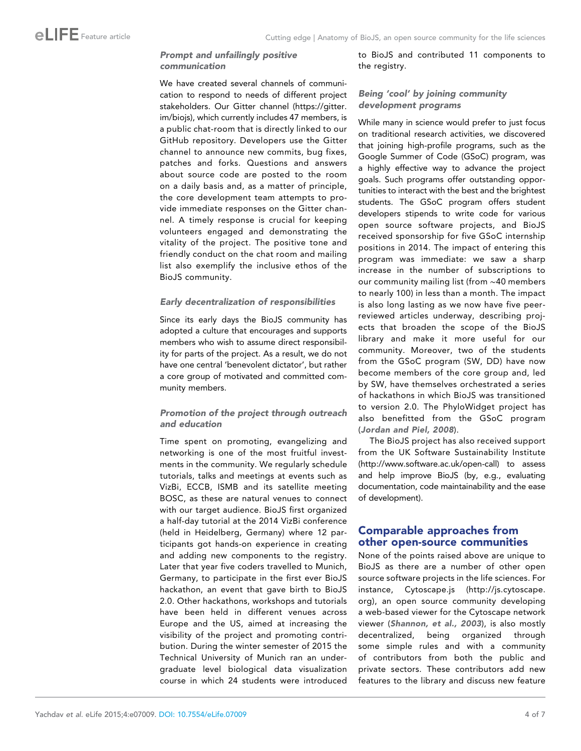# Prompt and unfailingly positive communication

We have created several channels of communication to respond to needs of different project stakeholders. Our Gitter channel [\(https://gitter.](https://gitter.im/biojs) [im/biojs\)](https://gitter.im/biojs), which currently includes 47 members, is a public chat-room that is directly linked to our GitHub repository. Developers use the Gitter channel to announce new commits, bug fixes, patches and forks. Questions and answers about source code are posted to the room on a daily basis and, as a matter of principle, the core development team attempts to provide immediate responses on the Gitter channel. A timely response is crucial for keeping volunteers engaged and demonstrating the vitality of the project. The positive tone and friendly conduct on the chat room and mailing list also exemplify the inclusive ethos of the BioJS community.

#### Early decentralization of responsibilities

Since its early days the BioJS community has adopted a culture that encourages and supports members who wish to assume direct responsibility for parts of the project. As a result, we do not have one central 'benevolent dictator', but rather a core group of motivated and committed community members.

# Promotion of the project through outreach and education

Time spent on promoting, evangelizing and networking is one of the most fruitful investments in the community. We regularly schedule tutorials, talks and meetings at events such as VizBi, ECCB, ISMB and its satellite meeting BOSC, as these are natural venues to connect with our target audience. BioJS first organized a half-day tutorial at the 2014 VizBi conference (held in Heidelberg, Germany) where 12 participants got hands-on experience in creating and adding new components to the registry. Later that year five coders travelled to Munich, Germany, to participate in the first ever BioJS hackathon, an event that gave birth to BioJS 2.0. Other hackathons, workshops and tutorials have been held in different venues across Europe and the US, aimed at increasing the visibility of the project and promoting contribution. During the winter semester of 2015 the Technical University of Munich ran an undergraduate level biological data visualization course in which 24 students were introduced

to BioJS and contributed 11 components to the registry.

# Being 'cool' by joining community development programs

While many in science would prefer to just focus on traditional research activities, we discovered that joining high-profile programs, such as the Google Summer of Code (GSoC) program, was a highly effective way to advance the project goals. Such programs offer outstanding opportunities to interact with the best and the brightest students. The GSoC program offers student developers stipends to write code for various open source software projects, and BioJS received sponsorship for five GSoC internship positions in 2014. The impact of entering this program was immediate: we saw a sharp increase in the number of subscriptions to our community mailing list (from ∼40 members to nearly 100) in less than a month. The impact is also long lasting as we now have five peerreviewed articles underway, describing projects that broaden the scope of the BioJS library and make it more useful for our community. Moreover, two of the students from the GSoC program (SW, DD) have now become members of the core group and, led by SW, have themselves orchestrated a series of hackathons in which BioJS was transitioned to version 2.0. The PhyloWidget project has also benefitted from the GSoC program ([Jordan and Piel, 2008](#page-5-0)).

The BioJS project has also received support from the UK Software Sustainability Institute [\(http://www.software.ac.uk/open-call\)](http://www.software.ac.uk/open-call) to assess and help improve BioJS (by, e.g., evaluating documentation, code maintainability and the ease of development).

# Comparable approaches from other open-source communities

None of the points raised above are unique to BioJS as there are a number of other open source software projects in the life sciences. For instance, Cytoscape.js ([http://js.cytoscape.](http://js.cytoscape.org/) [org](http://js.cytoscape.org/)), an open source community developing a web-based viewer for the Cytoscape network viewer ([Shannon, et al., 2003](#page-6-0)), is also mostly decentralized, being organized through some simple rules and with a community of contributors from both the public and private sectors. These contributors add new features to the library and discuss new feature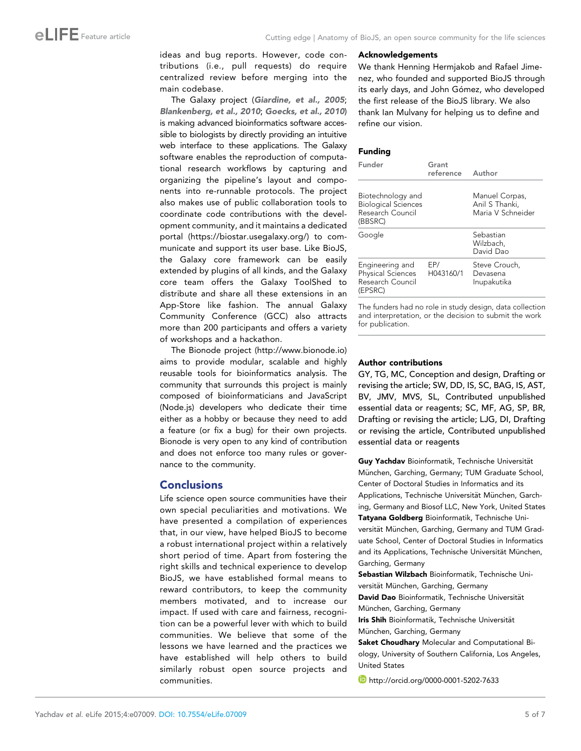ideas and bug reports. However, code contributions (i.e., pull requests) do require centralized review before merging into the main codebase.

The Galaxy project ([Giardine, et al., 2005](#page-5-0); [Blankenberg, et al., 2010](#page-5-0); [Goecks, et al., 2010](#page-5-0)) is making advanced bioinformatics software accessible to biologists by directly providing an intuitive web interface to these applications. The Galaxy software enables the reproduction of computational research workflows by capturing and organizing the pipeline's layout and components into re-runnable protocols. The project also makes use of public collaboration tools to coordinate code contributions with the development community, and it maintains a dedicated portal (<https://biostar.usegalaxy.org/>) to communicate and support its user base. Like BioJS, the Galaxy core framework can be easily extended by plugins of all kinds, and the Galaxy core team offers the Galaxy ToolShed to distribute and share all these extensions in an App-Store like fashion. The annual Galaxy Community Conference (GCC) also attracts more than 200 participants and offers a variety of workshops and a hackathon.

The Bionode project [\(http://www.bionode.io](http://www.bionode.io/)) aims to provide modular, scalable and highly reusable tools for bioinformatics analysis. The community that surrounds this project is mainly composed of bioinformaticians and JavaScript (Node.js) developers who dedicate their time either as a hobby or because they need to add a feature (or fix a bug) for their own projects. Bionode is very open to any kind of contribution and does not enforce too many rules or governance to the community.

#### Conclusions

Life science open source communities have their own special peculiarities and motivations. We have presented a compilation of experiences that, in our view, have helped BioJS to become a robust international project within a relatively short period of time. Apart from fostering the right skills and technical experience to develop BioJS, we have established formal means to reward contributors, to keep the community members motivated, and to increase our impact. If used with care and fairness, recognition can be a powerful lever with which to build communities. We believe that some of the lessons we have learned and the practices we have established will help others to build similarly robust open source projects and communities.

#### Acknowledgements

We thank Henning Hermjakob and Rafael Jimenez, who founded and supported BioJS through its early days, and John Gómez, who developed the first release of the BioJS library. We also thank Ian Mulvany for helping us to define and refine our vision.

#### Funding

| Funder                                                                         | Grant<br>reference Author |                                                       |
|--------------------------------------------------------------------------------|---------------------------|-------------------------------------------------------|
| Biotechnology and<br><b>Biological Sciences</b><br>Research Council<br>(BBSRC) |                           | Manuel Corpas,<br>Anil S Thanki,<br>Maria V Schneider |
| Google                                                                         |                           | Sebastian<br>Wilzbach,<br>David Dao                   |
| Engineering and<br><b>Physical Sciences</b><br>Research Council<br>(EPSRC)     | EP/<br>H043160/1          | Steve Crouch,<br>Devasena<br>Inupakutika              |

The funders had no role in study design, data collection and interpretation, or the decision to submit the work for publication.

#### Author contributions

GY, TG, MC, Conception and design, Drafting or revising the article; SW, DD, IS, SC, BAG, IS, AST, BV, JMV, MVS, SL, Contributed unpublished essential data or reagents; SC, MF, AG, SP, BR, Drafting or revising the article; LJG, DI, Drafting or revising the article, Contributed unpublished essential data or reagents

Guy Yachday Bioinformatik, Technische Universität München, Garching, Germany; TUM Graduate School, Center of Doctoral Studies in Informatics and its Applications, Technische Universität München, Garching, Germany and Biosof LLC, New York, United States Tatyana Goldberg Bioinformatik, Technische Universität München, Garching, Germany and TUM Graduate School, Center of Doctoral Studies in Informatics and its Applications, Technische Universität München, Garching, Germany

Sebastian Wilzbach Bioinformatik, Technische Universität München, Garching, Germany

David Dao Bioinformatik, Technische Universität München, Garching, Germany

Iris Shih Bioinformatik, Technische Universität München, Garching, Germany

Saket Choudhary Molecular and Computational Biology, University of Southern California, Los Angeles, United States

**b** <http://orcid.org/0000-0001-5202-7633>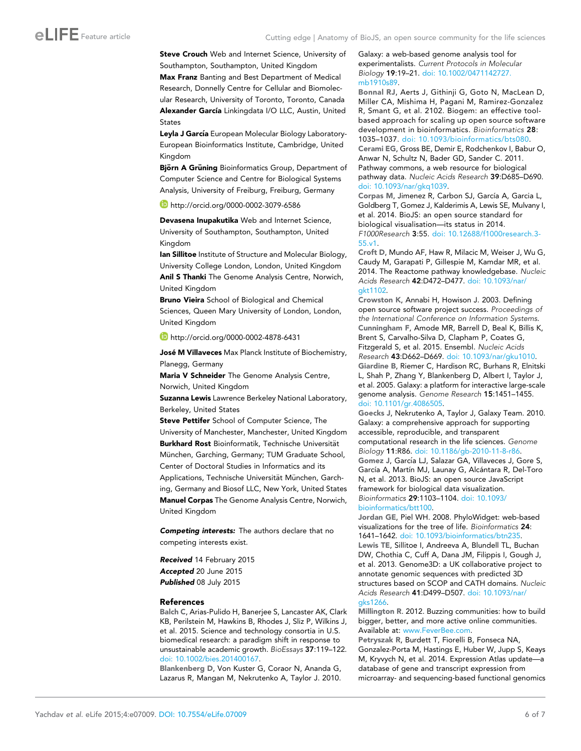<span id="page-5-0"></span>Steve Crouch Web and Internet Science, University of Southampton, Southampton, United Kingdom Max Franz Banting and Best Department of Medical Research, Donnelly Centre for Cellular and Biomolecular Research, University of Toronto, Toronto, Canada Alexander García Linkingdata I/O LLC, Austin, United States

Leyla J García European Molecular Biology Laboratory-European Bioinformatics Institute, Cambridge, United Kingdom

Björn A Grüning Bioinformatics Group, Department of Computer Science and Centre for Biological Systems Analysis, University of Freiburg, Freiburg, Germany

<http://orcid.org/0000-0002-3079-6586>

Devasena Inupakutika Web and Internet Science, University of Southampton, Southampton, United Kingdom

Ian Sillitoe Institute of Structure and Molecular Biology, University College London, London, United Kingdom Anil S Thanki The Genome Analysis Centre, Norwich, United Kingdom

Bruno Vieira School of Biological and Chemical Sciences, Queen Mary University of London, London, United Kingdom

<http://orcid.org/0000-0002-4878-6431>

José M Villaveces Max Planck Institute of Biochemistry, Planegg, Germany

Maria V Schneider The Genome Analysis Centre, Norwich, United Kingdom

Suzanna Lewis Lawrence Berkeley National Laboratory, Berkeley, United States

Steve Pettifer School of Computer Science, The University of Manchester, Manchester, United Kingdom Burkhard Rost Bioinformatik, Technische Universität München, Garching, Germany; TUM Graduate School, Center of Doctoral Studies in Informatics and its Applications, Technische Universität München, Garching, Germany and Biosof LLC, New York, United States Manuel Corpas The Genome Analysis Centre, Norwich, United Kingdom

Competing interests: The authors declare that no competing interests exist.

Received 14 February 2015

Accepted 20 June 2015 Published 08 July 2015

#### References

Balch C, Arias-Pulido H, Banerjee S, Lancaster AK, Clark KB, Perilstein M, Hawkins B, Rhodes J, Sliz P, Wilkins J, et al. 2015. Science and technology consortia in U.S. biomedical research: a paradigm shift in response to unsustainable academic growth. BioEssays 37:119–122. [doi: 10.1002/bies.201400167.](http://dx.doi.org/10.1002/bies.201400167)

Blankenberg D, Von Kuster G, Coraor N, Ananda G, Lazarus R, Mangan M, Nekrutenko A, Taylor J. 2010. Galaxy: a web-based genome analysis tool for experimentalists. Current Protocols in Molecular Biology 19:19–21. [doi: 10.1002/0471142727.](http://dx.doi.org/10.1002/0471142727.mb1910s89) [mb1910s89](http://dx.doi.org/10.1002/0471142727.mb1910s89).

Bonnal RJ, Aerts J, Githinji G, Goto N, MacLean D, Miller CA, Mishima H, Pagani M, Ramirez-Gonzalez R, Smant G, et al. 2102. Biogem: an effective toolbased approach for scaling up open source software development in bioinformatics. Bioinformatics 28: 1035–1037. [doi: 10.1093/bioinformatics/bts080.](http://dx.doi.org/10.1093/bioinformatics/bts080) Cerami EG, Gross BE, Demir E, Rodchenkov I, Babur O, Anwar N, Schultz N, Bader GD, Sander C. 2011. Pathway commons, a web resource for biological pathway data. Nucleic Acids Research 39:D685–D690. [doi: 10.1093/nar/gkq1039](http://dx.doi.org/10.1093/nar/gkq1039).

Corpas M, Jimenez R, Carbon SJ, García A, Garcia L, Goldberg T, Gomez J, Kalderimis A, Lewis SE, Mulvany I, et al. 2014. BioJS: an open source standard for biological visualisation—its status in 2014. F1000Research 3:55. [doi: 10.12688/f1000research.3-](http://dx.doi.org/10.12688/f1000research.3-55.v1) [55.v1](http://dx.doi.org/10.12688/f1000research.3-55.v1).

Croft D, Mundo AF, Haw R, Milacic M, Weiser J, Wu G, Caudy M, Garapati P, Gillespie M, Kamdar MR, et al. 2014. The Reactome pathway knowledgebase. Nucleic Acids Research 42:D472–D477. [doi: 10.1093/nar/](http://dx.doi.org/10.1093/nar/gkt1102) [gkt1102.](http://dx.doi.org/10.1093/nar/gkt1102)

Crowston K, Annabi H, Howison J. 2003. Defining open source software project success. Proceedings of the International Conference on Information Systems. Cunningham F, Amode MR, Barrell D, Beal K, Billis K, Brent S, Carvalho-Silva D, Clapham P, Coates G, Fitzgerald S, et al. 2015. Ensembl. Nucleic Acids Research 43:D662–D669. [doi: 10.1093/nar/gku1010.](http://dx.doi.org/10.1093/nar/gku1010) Giardine B, Riemer C, Hardison RC, Burhans R, Elnitski L, Shah P, Zhang Y, Blankenberg D, Albert I, Taylor J, et al. 2005. Galaxy: a platform for interactive large-scale genome analysis. Genome Research 15:1451–1455. [doi: 10.1101/gr.4086505](http://dx.doi.org/10.1101/gr.4086505).

Goecks J, Nekrutenko A, Taylor J, Galaxy Team. 2010. Galaxy: a comprehensive approach for supporting accessible, reproducible, and transparent computational research in the life sciences. Genome Biology 11:R86. [doi: 10.1186/gb-2010-11-8-r86.](http://dx.doi.org/10.1186/gb-2010-11-8-r86) Gomez J, García LJ, Salazar GA, Villaveces J, Gore S, García A, Martín MJ, Launay G, Alcántara R, Del-Toro N, et al. 2013. BioJS: an open source JavaScript framework for biological data visualization. Bioinformatics 29:1103–1104. [doi: 10.1093/](http://dx.doi.org/10.1093/bioinformatics/btt100)

[bioinformatics/btt100](http://dx.doi.org/10.1093/bioinformatics/btt100).

Jordan GE, Piel WH. 2008. PhyloWidget: web-based visualizations for the tree of life. Bioinformatics 24: 1641–1642. [doi: 10.1093/bioinformatics/btn235.](http://dx.doi.org/10.1093/bioinformatics/btn235)

Lewis TE, Sillitoe I, Andreeva A, Blundell TL, Buchan DW, Chothia C, Cuff A, Dana JM, Filippis I, Gough J, et al. 2013. Genome3D: a UK collaborative project to annotate genomic sequences with predicted 3D structures based on SCOP and CATH domains. Nucleic Acids Research 41:D499–D507. [doi: 10.1093/nar/](http://dx.doi.org/10.1093/nar/gks1266) [gks1266.](http://dx.doi.org/10.1093/nar/gks1266)

Millington R. 2012. Buzzing communities: how to build bigger, better, and more active online communities. Available at: [www.FeverBee.com.](http://www.FeverBee.com)

Petryszak R, Burdett T, Fiorelli B, Fonseca NA, Gonzalez-Porta M, Hastings E, Huber W, Jupp S, Keays M, Kryvych N, et al. 2014. Expression Atlas updatedatabase of gene and transcript expression from microarray- and sequencing-based functional genomics